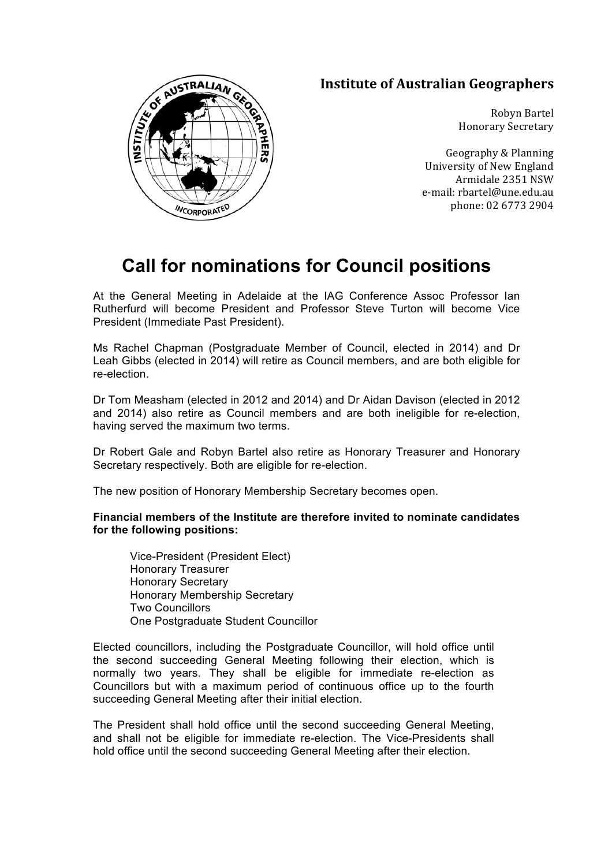## **Institute of Australian Geographers**



Geography & Planning University of New England Armidale 2351 NSW e-mail: rbartel@une.edu.au phone: 02 6773 2904

## **Call for nominations for Council positions**

At the General Meeting in Adelaide at the IAG Conference Assoc Professor Ian Rutherfurd will become President and Professor Steve Turton will become Vice President (Immediate Past President).

Ms Rachel Chapman (Postgraduate Member of Council, elected in 2014) and Dr Leah Gibbs (elected in 2014) will retire as Council members, and are both eligible for re-election.

Dr Tom Measham (elected in 2012 and 2014) and Dr Aidan Davison (elected in 2012 and 2014) also retire as Council members and are both ineligible for re-election, having served the maximum two terms.

Dr Robert Gale and Robyn Bartel also retire as Honorary Treasurer and Honorary Secretary respectively. Both are eligible for re-election.

The new position of Honorary Membership Secretary becomes open.

**Financial members of the Institute are therefore invited to nominate candidates for the following positions:**

Vice-President (President Elect) Honorary Treasurer Honorary Secretary Honorary Membership Secretary Two Councillors One Postgraduate Student Councillor

Elected councillors, including the Postgraduate Councillor, will hold office until the second succeeding General Meeting following their election, which is normally two years. They shall be eligible for immediate re-election as Councillors but with a maximum period of continuous office up to the fourth succeeding General Meeting after their initial election.

The President shall hold office until the second succeeding General Meeting, and shall not be eligible for immediate re-election. The Vice-Presidents shall hold office until the second succeeding General Meeting after their election.

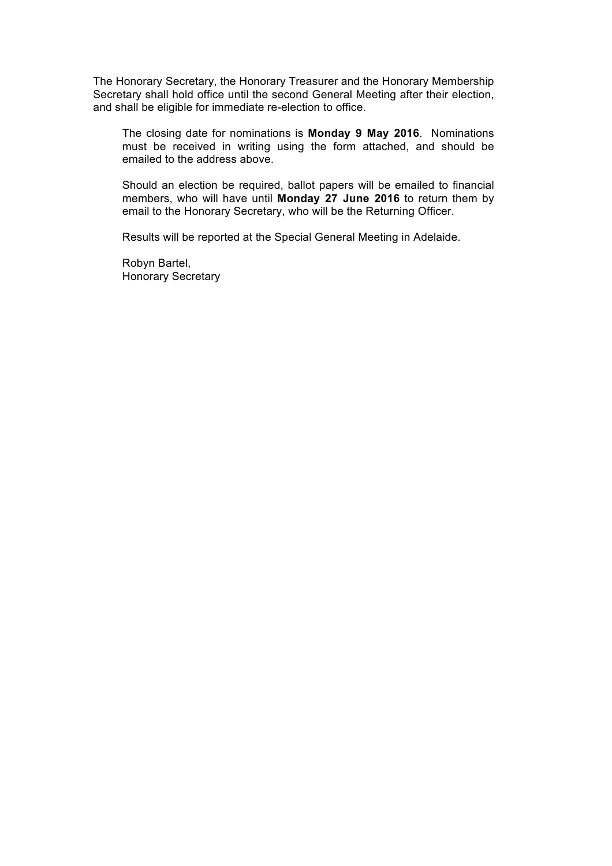The Honorary Secretary, the Honorary Treasurer and the Honorary Membership Secretary shall hold office until the second General Meeting after their election, and shall be eligible for immediate re-election to office.

The closing date for nominations is **Monday 9 May 2016**. Nominations must be received in writing using the form attached, and should be emailed to the address above.

Should an election be required, ballot papers will be emailed to financial members, who will have until **Monday 27 June 2016** to return them by email to the Honorary Secretary, who will be the Returning Officer.

Results will be reported at the Special General Meeting in Adelaide.

Robyn Bartel, Honorary Secretary